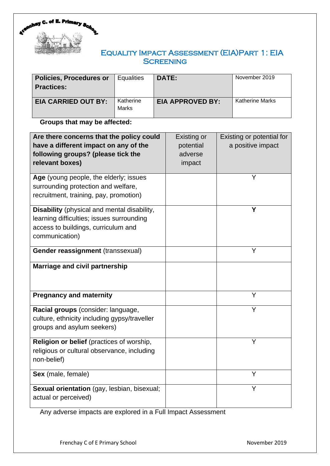

# Equality Impact Assessment (EIA)Part 1: EIA **SCREENING**

| <b>Policies, Procedures or</b><br><b>Practices:</b> | <b>Equalities</b>         | DATE:                   | November 2019          |
|-----------------------------------------------------|---------------------------|-------------------------|------------------------|
| <b>EIA CARRIED OUT BY:</b>                          | Katherine<br><b>Marks</b> | <b>EIA APPROVED BY:</b> | <b>Katherine Marks</b> |

**Groups that may be affected:**

| Are there concerns that the policy could<br>have a different impact on any of the<br>following groups? (please tick the<br>relevant boxes)        | Existing or<br>potential<br>adverse<br>impact | Existing or potential for<br>a positive impact |
|---------------------------------------------------------------------------------------------------------------------------------------------------|-----------------------------------------------|------------------------------------------------|
| Age (young people, the elderly; issues<br>surrounding protection and welfare,<br>recruitment, training, pay, promotion)                           |                                               | Y                                              |
| Disability (physical and mental disability,<br>learning difficulties; issues surrounding<br>access to buildings, curriculum and<br>communication) |                                               | Υ                                              |
| Gender reassignment (transsexual)                                                                                                                 |                                               | Y                                              |
| Marriage and civil partnership                                                                                                                    |                                               | Y                                              |
| <b>Pregnancy and maternity</b>                                                                                                                    |                                               |                                                |
| Racial groups (consider: language,<br>culture, ethnicity including gypsy/traveller<br>groups and asylum seekers)                                  |                                               | Y                                              |
| Religion or belief (practices of worship,<br>religious or cultural observance, including<br>non-belief)                                           |                                               | Y                                              |
| Sex (male, female)                                                                                                                                |                                               | Y                                              |
| <b>Sexual orientation</b> (gay, lesbian, bisexual;<br>actual or perceived)                                                                        |                                               | Υ                                              |

Any adverse impacts are explored in a Full Impact Assessment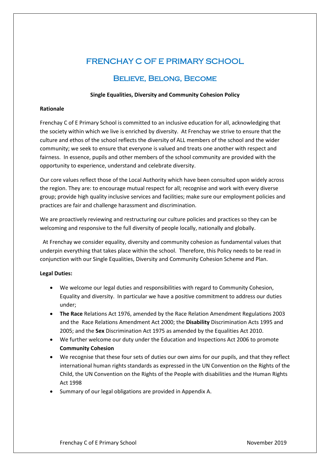# FRENCHAY C OF E PRIMARY SCHOOL

# Believe, Belong, Become

### **Single Equalities, Diversity and Community Cohesion Policy**

### **Rationale**

Frenchay C of E Primary School is committed to an inclusive education for all, acknowledging that the society within which we live is enriched by diversity. At Frenchay we strive to ensure that the culture and ethos of the school reflects the diversity of ALL members of the school and the wider community; we seek to ensure that everyone is valued and treats one another with respect and fairness. In essence, pupils and other members of the school community are provided with the opportunity to experience, understand and celebrate diversity.

Our core values reflect those of the Local Authority which have been consulted upon widely across the region. They are: to encourage mutual respect for all; recognise and work with every diverse group; provide high quality inclusive services and facilities; make sure our employment policies and practices are fair and challenge harassment and discrimination.

We are proactively reviewing and restructuring our culture policies and practices so they can be welcoming and responsive to the full diversity of people locally, nationally and globally.

 At Frenchay we consider equality, diversity and community cohesion as fundamental values that underpin everything that takes place within the school. Therefore, this Policy needs to be read in conjunction with our Single Equalities, Diversity and Community Cohesion Scheme and Plan.

#### **Legal Duties:**

- We welcome our legal duties and responsibilities with regard to Community Cohesion, Equality and diversity. In particular we have a positive commitment to address our duties under;
- **The Race** Relations Act 1976, amended by the Race Relation Amendment Regulations 2003 and the Race Relations Amendment Act 2000; the **Disability** Discrimination Acts 1995 and 2005; and the **Sex** Discrimination Act 1975 as amended by the Equalities Act 2010.
- We further welcome our duty under the Education and Inspections Act 2006 to promote **Community Cohesion**
- We recognise that these four sets of duties our own aims for our pupils, and that they reflect international human rights standards as expressed in the UN Convention on the Rights of the Child, the UN Convention on the Rights of the People with disabilities and the Human Rights Act 1998
- Summary of our legal obligations are provided in Appendix A.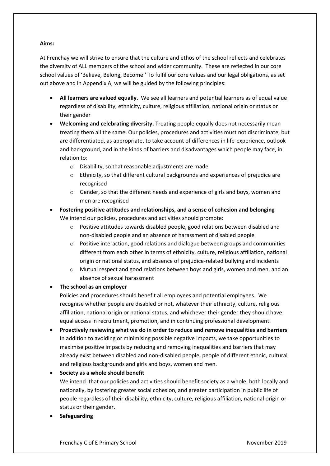# **Aims:**

At Frenchay we will strive to ensure that the culture and ethos of the school reflects and celebrates the diversity of ALL members of the school and wider community. These are reflected in our core school values of 'Believe, Belong, Become.' To fulfil our core values and our legal obligations, as set out above and in Appendix A, we will be guided by the following principles:

- **All learners are valued equally.** We see all learners and potential learners as of equal value regardless of disability, ethnicity, culture, religious affiliation, national origin or status or their gender
- **Welcoming and celebrating diversity.** Treating people equally does not necessarily mean treating them all the same. Our policies, procedures and activities must not discriminate, but are differentiated, as appropriate, to take account of differences in life-experience, outlook and background, and in the kinds of barriers and disadvantages which people may face, in relation to:
	- o Disability, so that reasonable adjustments are made
	- o Ethnicity, so that different cultural backgrounds and experiences of prejudice are recognised
	- $\circ$  Gender, so that the different needs and experience of girls and boys, women and men are recognised
- **Fostering positive attitudes and relationships, and a sense of cohesion and belonging**  We intend our policies, procedures and activities should promote:
	- o Positive attitudes towards disabled people, good relations between disabled and non-disabled people and an absence of harassment of disabled people
	- $\circ$  Positive interaction, good relations and dialogue between groups and communities different from each other in terms of ethnicity, culture, religious affiliation, national origin or national status, and absence of prejudice-related bullying and incidents
	- o Mutual respect and good relations between boys and girls, women and men, and an absence of sexual harassment

• **The school as an employer** 

Policies and procedures should benefit all employees and potential employees. We recognise whether people are disabled or not, whatever their ethnicity, culture, religious affiliation, national origin or national status, and whichever their gender they should have equal access in recruitment, promotion, and in continuing professional development.

• **Proactively reviewing what we do in order to reduce and remove inequalities and barriers**  In addition to avoiding or minimising possible negative impacts, we take opportunities to maximise positive impacts by reducing and removing inequalities and barriers that may already exist between disabled and non-disabled people, people of different ethnic, cultural and religious backgrounds and girls and boys, women and men.

# • **Society as a whole should benefit**

We intend that our policies and activities should benefit society as a whole, both locally and nationally, by fostering greater social cohesion, and greater participation in public life of people regardless of their disability, ethnicity, culture, religious affiliation, national origin or status or their gender.

• **Safeguarding**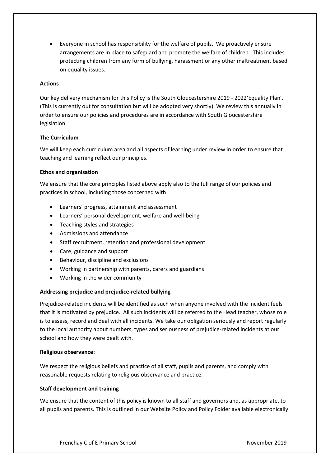• Everyone in school has responsibility for the welfare of pupils. We proactively ensure arrangements are in place to safeguard and promote the welfare of children. This includes protecting children from any form of bullying, harassment or any other maltreatment based on equality issues.

#### **Actions**

Our key delivery mechanism for this Policy is the South Gloucestershire 2019 - 2022'Equality Plan'. (This is currently out for consultation but will be adopted very shortly). We review this annually in order to ensure our policies and procedures are in accordance with South Gloucestershire legislation.

# **The Curriculum**

We will keep each curriculum area and all aspects of learning under review in order to ensure that teaching and learning reflect our principles.

# **Ethos and organisation**

We ensure that the core principles listed above apply also to the full range of our policies and practices in school, including those concerned with:

- Learners' progress, attainment and assessment
- Learners' personal development, welfare and well-being
- Teaching styles and strategies
- Admissions and attendance
- Staff recruitment, retention and professional development
- Care, guidance and support
- Behaviour, discipline and exclusions
- Working in partnership with parents, carers and guardians
- Working in the wider community

# **Addressing prejudice and prejudice-related bullying**

Prejudice-related incidents will be identified as such when anyone involved with the incident feels that it is motivated by prejudice. All such incidents will be referred to the Head teacher, whose role is to assess, record and deal with all incidents. We take our obligation seriously and report regularly to the local authority about numbers, types and seriousness of prejudice-related incidents at our school and how they were dealt with.

#### **Religious observance:**

We respect the religious beliefs and practice of all staff, pupils and parents, and comply with reasonable requests relating to religious observance and practice.

#### **Staff development and training**

We ensure that the content of this policy is known to all staff and governors and, as appropriate, to all pupils and parents. This is outlined in our Website Policy and Policy Folder available electronically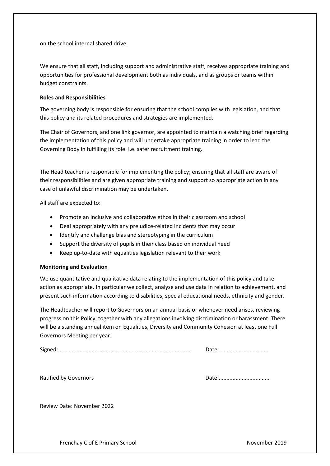on the school internal shared drive.

We ensure that all staff, including support and administrative staff, receives appropriate training and opportunities for professional development both as individuals, and as groups or teams within budget constraints.

#### **Roles and Responsibilities**

The governing body is responsible for ensuring that the school complies with legislation, and that this policy and its related procedures and strategies are implemented.

The Chair of Governors, and one link governor, are appointed to maintain a watching brief regarding the implementation of this policy and will undertake appropriate training in order to lead the Governing Body in fulfilling its role. i.e. safer recruitment training.

The Head teacher is responsible for implementing the policy; ensuring that all staff are aware of their responsibilities and are given appropriate training and support so appropriate action in any case of unlawful discrimination may be undertaken.

All staff are expected to:

- Promote an inclusive and collaborative ethos in their classroom and school
- Deal appropriately with any prejudice-related incidents that may occur
- Identify and challenge bias and stereotyping in the curriculum
- Support the diversity of pupils in their class based on individual need
- Keep up-to-date with equalities legislation relevant to their work

#### **Monitoring and Evaluation**

We use quantitative and qualitative data relating to the implementation of this policy and take action as appropriate. In particular we collect, analyse and use data in relation to achievement, and present such information according to disabilities, special educational needs, ethnicity and gender.

The Headteacher will report to Governors on an annual basis or whenever need arises, reviewing progress on this Policy, together with any allegations involving discrimination or harassment. There will be a standing annual item on Equalities, Diversity and Community Cohesion at least one Full Governors Meeting per year.

Ratified by Governors Date:.................................

Review Date: November 2022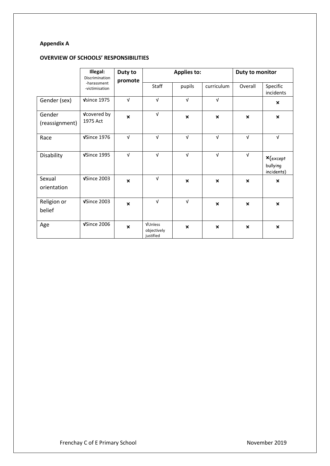# **Appendix A**

# **OVERVIEW OF SCHOOLS' RESPONSIBILITIES**

|                          | Illegal:<br>Duty to<br>Discrimination |                           | <b>Applies to:</b>                  |                           |                           | Duty to monitor           |                                       |
|--------------------------|---------------------------------------|---------------------------|-------------------------------------|---------------------------|---------------------------|---------------------------|---------------------------------------|
|                          | -harassment<br>-victimisation         | promote                   | Staff                               | pupils                    | curriculum                | Overall                   | Specific<br>incidents                 |
| Gender (sex)             | Vsince 1975                           | $\sqrt{ }$                | $\sqrt{ }$                          | $\sqrt{ }$                | $\sqrt{ }$                |                           | $\boldsymbol{\mathsf{x}}$             |
| Gender<br>(reassignment) | <b>V</b> covered by<br>1975 Act       | $\mathbf x$               | $\sqrt{ }$                          | $\mathbf{x}$              | $\mathbf{x}$              | $\mathbf x$               | $\boldsymbol{\mathsf{x}}$             |
| Race                     | VSince 1976                           | $\sqrt{ }$                | $\sqrt{ }$                          | $\sqrt{ }$                | $\sqrt{ }$                | $\sqrt{ }$                | $\sqrt{ }$                            |
| Disability               | VSince 1995                           | $\sqrt{ }$                | $\sqrt{ }$                          | $\sqrt{ }$                | $\sqrt{ }$                | $\sqrt{ }$                | $x$ (except<br>bullying<br>incidents) |
| Sexual<br>orientation    | VSince 2003                           | $\boldsymbol{\mathsf{x}}$ | $\sqrt{ }$                          | $\boldsymbol{\mathsf{x}}$ | $\boldsymbol{\mathsf{x}}$ | $\boldsymbol{\mathsf{x}}$ | $\boldsymbol{\mathsf{x}}$             |
| Religion or<br>belief    | VSince 2003                           | $\boldsymbol{\mathsf{x}}$ | $\sqrt{ }$                          | $\sqrt{ }$                | $\boldsymbol{\mathsf{x}}$ | $\boldsymbol{\mathsf{x}}$ | $\boldsymbol{\mathsf{x}}$             |
| Age                      | VSince 2006                           | $\mathbf x$               | VUnless<br>objectively<br>justified | $\boldsymbol{\mathsf{x}}$ | $\boldsymbol{\mathsf{x}}$ | $\boldsymbol{\mathsf{x}}$ | $\boldsymbol{\mathsf{x}}$             |